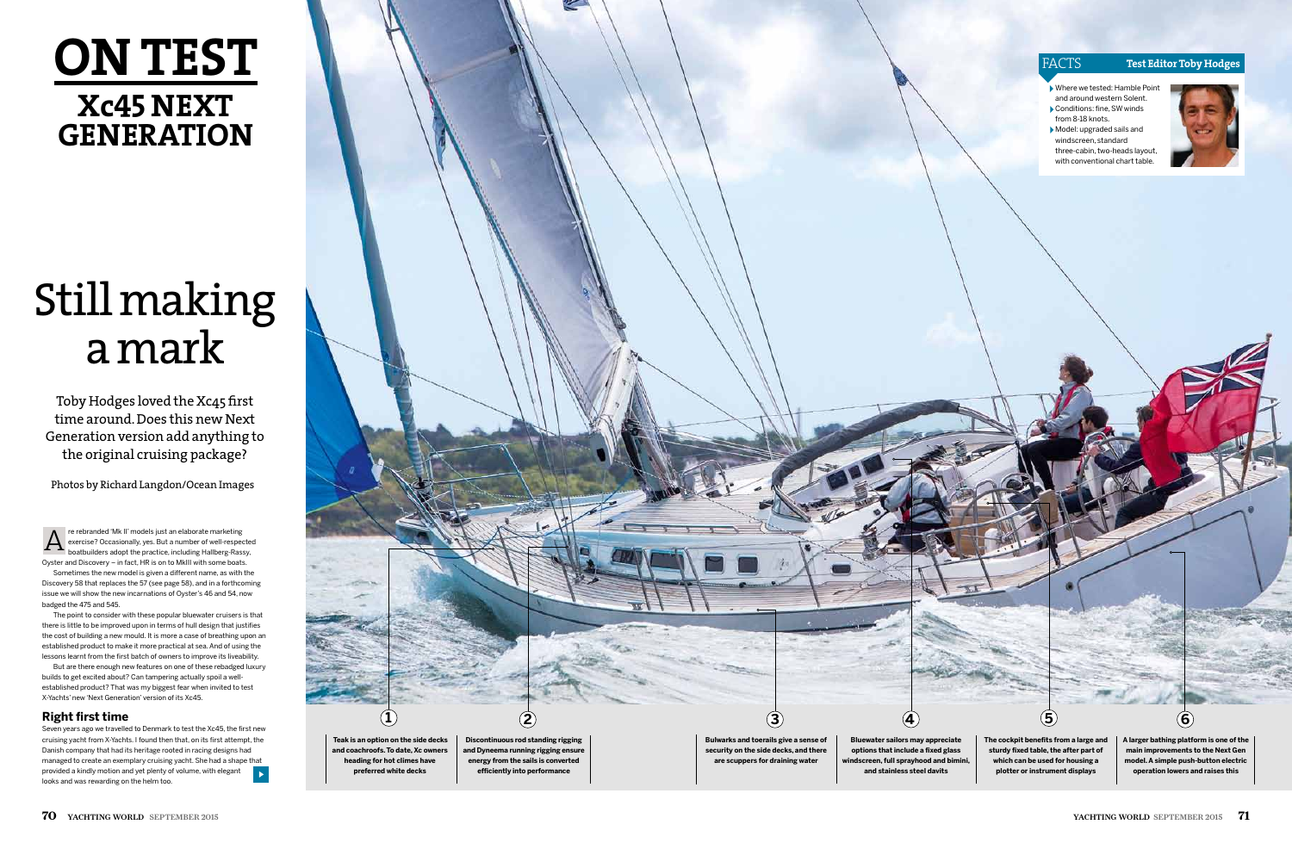## **ON TEST Xc45 NEXt generation**

# Still making a mark

#### facts **Test Editor Toby Hodges**

Where we tested: Hamble Point and around western Solent.

- Conditions: fine, SW winds from 8-18 knots.
- Model: upgraded sails and windscreen, standard three-cabin, two-heads layout, with conventional chart table.



Toby Hodges loved the Xc45 first time around. Does this new Next Generation version add anything to the original cruising package?

Photos by Richard Langdon/Ocean Images

Discovery 58 that replaces the 57 (see page 58), and in a forthcoming issue we will show the new incarnations of Oyster's 46 and 54, now badged the 475 and 545.

The point to consider with these popular bluewater cruisers is that there is little to be improved upon in terms of hull design that justifies the cost of building a new mould. It is more a case of breathing upon an established product to make it more practical at sea. And of using the lessons learnt from the first batch of owners to improve its liveability.

But are there enough new features on one of these rebadged luxury builds to get excited about? Can tampering actually spoil a wellestablished product? That was my biggest fear when invited to test X-Yachts' new 'Next Generation' version of its Xc45.

#### **Right first time**

re rebranded 'Mk II' models just an elaborate marketing exercise? Occasionally, yes. But a number of well-respected boatbuilders adopt the practice, including Hallberg-Rassy, Oyster and Discovery – in fact, HR is on to MkIII with some boats. Sometimes the new model is given a different name, as with the A

Seven years ago we travelled to Denmark to test the Xc45, the first new cruising yacht from X-Yachts. I found then that, on its first attempt, the Danish company that had its heritage rooted in racing designs had managed to create an exemplary cruising yacht. She had a shape that provided a kindly motion and yet plenty of volume, with elegant looks and was rewarding on the helm too.



**Bluewater sailors may appreciate options that include a fixed glass windscreen, full sprayhood and bimini, and stainless steel davits**

**The cockpit benefits from a large and sturdy fixed table, the after part of which can be used for housing a plotter or instrument displays**

**A larger bathing platform is one of the main improvements to the Next Gen model. A simple push-button electric operation lowers and raises this**

**5**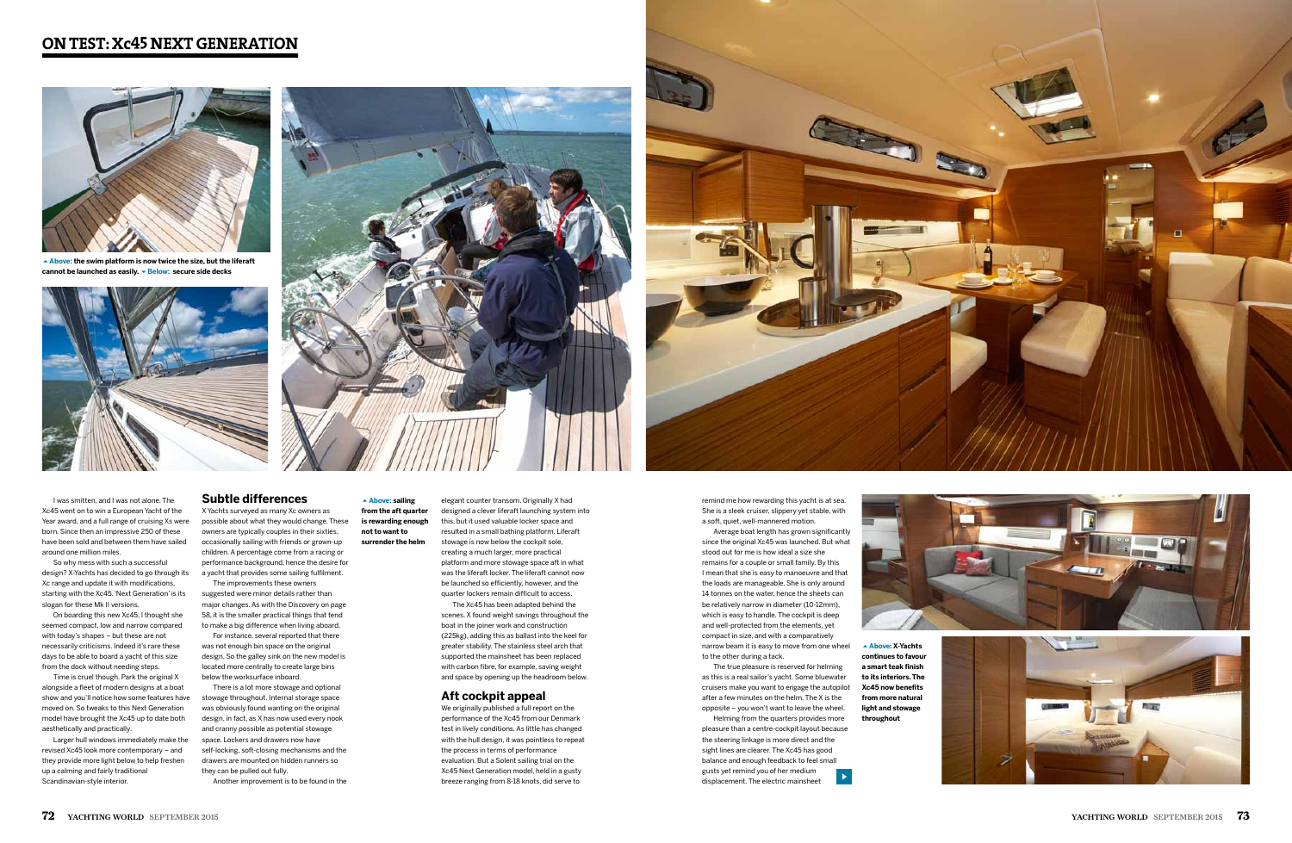## **on test: Xc45 next generation**

remind me how rewarding this yacht is at sea. She is a sleek cruiser, slippery yet stable, with a soft, quiet, well-mannered motion.

Average boat length has grown significantly since the original Xc45 was launched. But what stood out for me is how ideal a size she remains for a couple or small family. By this I mean that she is easy to manoeuvre and that the loads are manageable. She is only around 14 tonnes on the water, hence the sheets can be relatively narrow in diameter (10-12mm), which is easy to handle. The cockpit is deep and well-protected from the elements, yet compact in size, and with a comparatively narrow beam it is easy to move from one wheel to the other during a tack.



**Above: the swim platform is now twice the size, but the liferaft**  cannot be launched as easily. **• Below:** secure side decks







The true pleasure is reserved for helming as this is a real sailor's yacht. Some bluewater cruisers make you want to engage the autopilot after a few minutes on the helm. The X is the opposite – you won't want to leave the wheel. Helming from the quarters provides more

pleasure than a centre-cockpit layout because the steering linkage is more direct and the sight lines are clearer. The Xc45 has good balance and enough feedback to feel small gusts yet remind you of her medium displacement. The electric mainsheet





**continues to favour a smart teak finish to its interiors. The Xc45 now benefits from more natural light and stowage** 



**throughout** 

#### **Above: sailing from the aft quarter is rewarding enough not to want to surrender the helm**

elegant counter transom. Originally X had designed a clever liferaft launching system into

this, but it used valuable locker space and resulted in a small bathing platform. Liferaft stowage is now below the cockpit sole, creating a much larger, more practical platform and more stowage space aft in what was the liferaft locker. The liferaft cannot now be launched so efficiently, however, and the quarter lockers remain difficult to access.

The Xc45 has been adapted behind the scenes. X found weight savings throughout the boat in the joiner work and construction (225kg), adding this as ballast into the keel for greater stability. The stainless steel arch that supported the mainsheet has been replaced with carbon fibre, for example, saving weight and space by opening up the headroom below.

#### **Aft cockpit appeal**

We originally published a full report on the performance of the Xc45 from our Denmark test in lively conditions. As little has changed with the hull design, it was pointless to repeat the process in terms of performance evaluation. But a Solent sailing trial on the Xc45 Next Generation model, held in a gusty breeze ranging from 8-18 knots, did serve to

#### **Subtle differences**

X Yachts surveyed as many Xc owners as possible about what they would change. These owners are typically couples in their sixties, occasionally sailing with friends or grown-up children. A percentage come from a racing or performance background, hence the desire for a yacht that provides some sailing fulfilment.

The improvements these owners suggested were minor details rather than major changes. As with the Discovery on page 58, it is the smaller practical things that tend to make a big difference when living aboard.

For instance, several reported that there was not enough bin space on the original design. So the galley sink on the new model is located more centrally to create large bins below the worksurface inboard.

There is a lot more stowage and optional stowage throughout. Internal storage space was obviously found wanting on the original design, in fact, as X has now used every nook and cranny possible as potential stowage space. Lockers and drawers now have self-locking, soft-closing mechanisms and the drawers are mounted on hidden runners so they can be pulled out fully.

Another improvement is to be found in the

I was smitten, and I was not alone. The Xc45 went on to win a European Yacht of the Year award, and a full range of cruising Xs were born. Since then an impressive 250 of these have been sold and between them have sailed around one million miles.

So why mess with such a successful design? X-Yachts has decided to go through its Xc range and update it with modifications, starting with the Xc45. 'Next Generation' is its slogan for these Mk II versions.

On boarding this new Xc45, I thought she seemed compact, low and narrow compared with today's shapes – but these are not necessarily criticisms. Indeed it's rare these days to be able to board a yacht of this size from the dock without needing steps.

Time is cruel though. Park the original X alongside a fleet of modern designs at a boat show and you'll notice how some features have moved on. So tweaks to this Next Generation model have brought the Xc45 up to date both aesthetically and practically.

Larger hull windows immediately make the revised Xc45 look more contemporary – and they provide more light below to help freshen up a calming and fairly traditional Scandinavian-style interior.